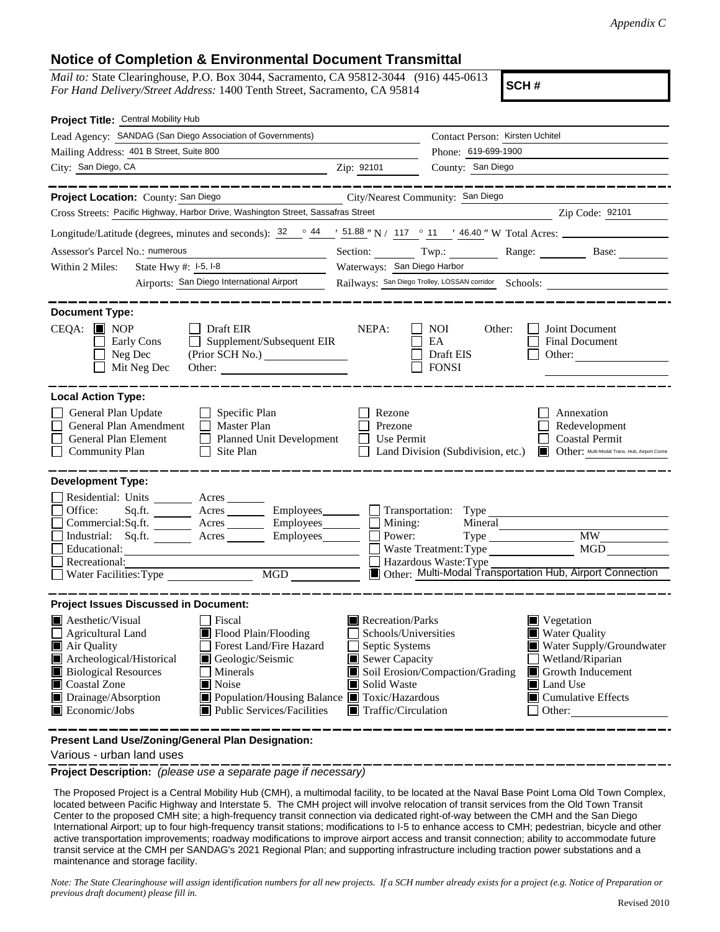## **Notice of Completion & Environmental Document Transmittal**

*Mail to:* State Clearinghouse, P.O. Box 3044, Sacramento, CA 95812-3044 (916) 445-0613 *For Hand Delivery/Street Address:* 1400 Tenth Street, Sacramento, CA 95814

**SCH #**

| Project Title: Central Mobility Hub                                                                                                                                                                     |                                                                                                                                                                                                                            |                                                                                                                                                  |                                                           |                                                                                                                                                                                   |  |
|---------------------------------------------------------------------------------------------------------------------------------------------------------------------------------------------------------|----------------------------------------------------------------------------------------------------------------------------------------------------------------------------------------------------------------------------|--------------------------------------------------------------------------------------------------------------------------------------------------|-----------------------------------------------------------|-----------------------------------------------------------------------------------------------------------------------------------------------------------------------------------|--|
|                                                                                                                                                                                                         | Lead Agency: SANDAG (San Diego Association of Governments)                                                                                                                                                                 |                                                                                                                                                  | Contact Person: Kirsten Uchitel                           |                                                                                                                                                                                   |  |
| Mailing Address: 401 B Street, Suite 800                                                                                                                                                                |                                                                                                                                                                                                                            | Phone: 619-699-1900                                                                                                                              |                                                           |                                                                                                                                                                                   |  |
| City: San Diego, CA                                                                                                                                                                                     |                                                                                                                                                                                                                            | Zip: 92101                                                                                                                                       | County: San Diego                                         |                                                                                                                                                                                   |  |
|                                                                                                                                                                                                         |                                                                                                                                                                                                                            |                                                                                                                                                  |                                                           |                                                                                                                                                                                   |  |
| Project Location: County: San Diego                                                                                                                                                                     |                                                                                                                                                                                                                            |                                                                                                                                                  | City/Nearest Community: San Diego                         |                                                                                                                                                                                   |  |
|                                                                                                                                                                                                         | Cross Streets: Pacific Highway, Harbor Drive, Washington Street, Sassafras Street                                                                                                                                          |                                                                                                                                                  |                                                           | Zip Code: 92101                                                                                                                                                                   |  |
|                                                                                                                                                                                                         | Longitude/Latitude (degrees, minutes and seconds): $\frac{32}{12}$ $\frac{44}{15}$ $\frac{151.88}{15}$ N / $\frac{117}{15}$ $\frac{6}{11}$ $\frac{16.40}{15}$ W Total Acres:                                               |                                                                                                                                                  |                                                           |                                                                                                                                                                                   |  |
| Assessor's Parcel No.: numerous                                                                                                                                                                         |                                                                                                                                                                                                                            |                                                                                                                                                  |                                                           | Section: Twp.: Range: Base:                                                                                                                                                       |  |
| State Hwy #: 1-5, 1-8<br>Within 2 Miles:<br><u> 1980 - Jan Stein Stein Stein Stein Stein Stein Stein Stein Stein Stein Stein Stein Stein Stein Stein Stein S</u>                                        |                                                                                                                                                                                                                            | Waterways: San Diego Harbor                                                                                                                      |                                                           |                                                                                                                                                                                   |  |
|                                                                                                                                                                                                         | Airports: San Diego International Airport                                                                                                                                                                                  | Railways: San Diego Trolley, LOSSAN corridor Schools: __________________________                                                                 |                                                           |                                                                                                                                                                                   |  |
|                                                                                                                                                                                                         |                                                                                                                                                                                                                            |                                                                                                                                                  |                                                           |                                                                                                                                                                                   |  |
| <b>Document Type:</b><br>$CEQA: \blacksquare$ NOP<br>Early Cons<br>Neg Dec<br>Mit Neg Dec                                                                                                               | $\Box$ Draft EIR<br>Supplement/Subsequent EIR<br>$\Box$                                                                                                                                                                    | NEPA:                                                                                                                                            | NOI<br>Other:<br>EA<br>Draft EIS<br><b>FONSI</b>          | Joint Document<br><b>Final Document</b><br>Other: $\qquad \qquad$                                                                                                                 |  |
| <b>Local Action Type:</b><br>General Plan Update<br>General Plan Amendment<br>General Plan Element<br><b>Community Plan</b>                                                                             | $\Box$ Specific Plan<br>$\Box$ Master Plan<br><b>Planned Unit Development</b><br>$\perp$<br>Site Plan                                                                                                                      | Rezone<br>Prezone<br>Use Permit                                                                                                                  | Land Division (Subdivision, etc.)                         | Annexation<br>Redevelopment<br><b>Coastal Permit</b><br>Other: Multi-Modal Trans. Hub, Airport Conne<br>圓                                                                         |  |
| <b>Development Type:</b>                                                                                                                                                                                |                                                                                                                                                                                                                            |                                                                                                                                                  |                                                           |                                                                                                                                                                                   |  |
| Residential: Units ________ Acres _______<br>Office:<br>Educational:<br>Recreational:<br>Water Facilities: Type                                                                                         | Sq.ft. ________ Acres __________ Employees ________ __ Transportation: Type ___________<br>Commercial:Sq.ft. ________ Acres _________ Employees_______<br>Industrial: Sq.ft. _______ Acres _______ Employees_______<br>MGD | Mining:<br>$\mathbf{I}$<br>Power:<br>$\mathbf{I}$                                                                                                | Mineral<br>Waste Treatment: Type<br>Hazardous Waste: Type | $\overline{\text{MW}}$<br>MGD<br>Other: Multi-Modal Transportation Hub, Airport Connection                                                                                        |  |
| <b>Project Issues Discussed in Document:</b>                                                                                                                                                            |                                                                                                                                                                                                                            |                                                                                                                                                  |                                                           |                                                                                                                                                                                   |  |
| <b>A</b> esthetic/Visual<br>$\Box$ Agricultural Land<br>Air Quality<br>Archeological/Historical<br><b>Biological Resources</b><br>■ Coastal Zone<br>Drainage/Absorption<br>$\blacksquare$ Economic/Jobs | Fiscal<br>Flood Plain/Flooding<br>Forest Land/Fire Hazard<br>Geologic/Seismic<br>Minerals<br>$\blacksquare$ Noise<br>■ Population/Housing Balance ■ Toxic/Hazardous<br>■ Public Services/Facilities                        | $\blacksquare$ Recreation/Parks<br>Schools/Universities<br>Septic Systems<br>Sewer Capacity<br>Solid Waste<br>$\blacksquare$ Traffic/Circulation | Soil Erosion/Compaction/Grading                           | $\blacksquare$ Vegetation<br><b>Water Quality</b><br>Water Supply/Groundwater<br>Wetland/Riparian<br>Growth Inducement<br>Land Use<br>$\blacksquare$ Cumulative Effects<br>Other: |  |
|                                                                                                                                                                                                         | Present Land Use/Zoning/General Plan Designation:                                                                                                                                                                          |                                                                                                                                                  |                                                           |                                                                                                                                                                                   |  |

Various - urban land uses

**Project Description:** *(please use a separate page if necessary)*

 The Proposed Project is a Central Mobility Hub (CMH), a multimodal facility, to be located at the Naval Base Point Loma Old Town Complex, located between Pacific Highway and Interstate 5. The CMH project will involve relocation of transit services from the Old Town Transit Center to the proposed CMH site; a high-frequency transit connection via dedicated right-of-way between the CMH and the San Diego International Airport; up to four high-frequency transit stations; modifications to I-5 to enhance access to CMH; pedestrian, bicycle and other active transportation improvements; roadway modifications to improve airport access and transit connection; ability to accommodate future transit service at the CMH per SANDAG's 2021 Regional Plan; and supporting infrastructure including traction power substations and a maintenance and storage facility.

*Note: The State Clearinghouse will assign identification numbers for all new projects. If a SCH number already exists for a project (e.g. Notice of Preparation or previous draft document) please fill in.*